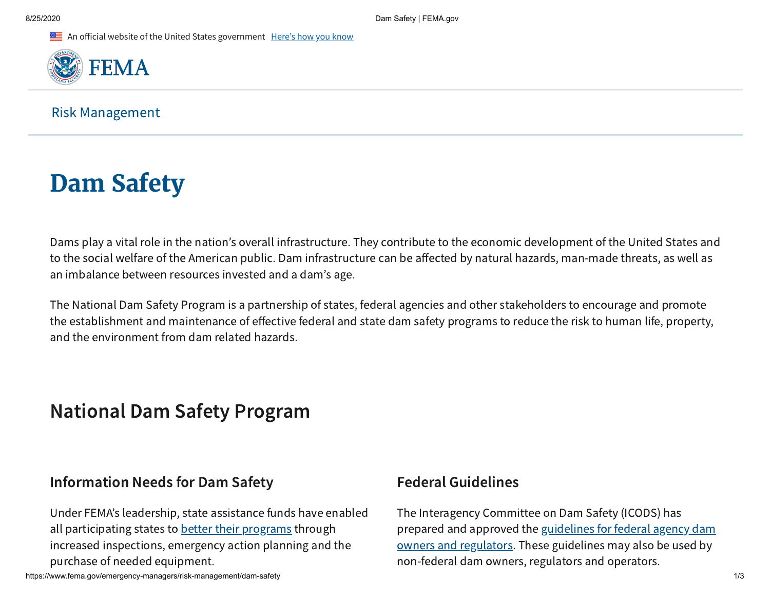An official website of the United States government Here's how you know



Risk Management

# **Dam Safety**

Dams play a vital role in the nation's overall infrastructure. They contribute to the economic development of the United States and to the social welfare of the American public. Dam infrastructure can be affected by natural hazards, man-made threats, as well as an imbalance between resources invested and a dam's age.

The National Dam Safety Program is a partnership of states, federal agencies and other stakeholders to encourage and promote the establishment and maintenance of effective federal and state dam safety programs to reduce the risk to human life, property, and the environment from dam related hazards.

# National Dam Safety Program

## Information Needs for Dam Safety

Under FEMA's leadership, state assistance funds have enabled all participating states to [better their programs](https://www.fema.gov/emergency-managers/risk-management/dam-safety/about) through increased inspections, emergency action planning and the purchase of needed equipment.

## Federal Guidelines

The Interagency Committee on Dam Safety (ICODS) has prepared and approved the guidelines for federal agency dam [owners and regulators. These guidelines may also be used by](https://www.fema.gov/emergency-managers/risk-management/dam-safety/federal-guidelines) non-federal dam owners, regulators and operators.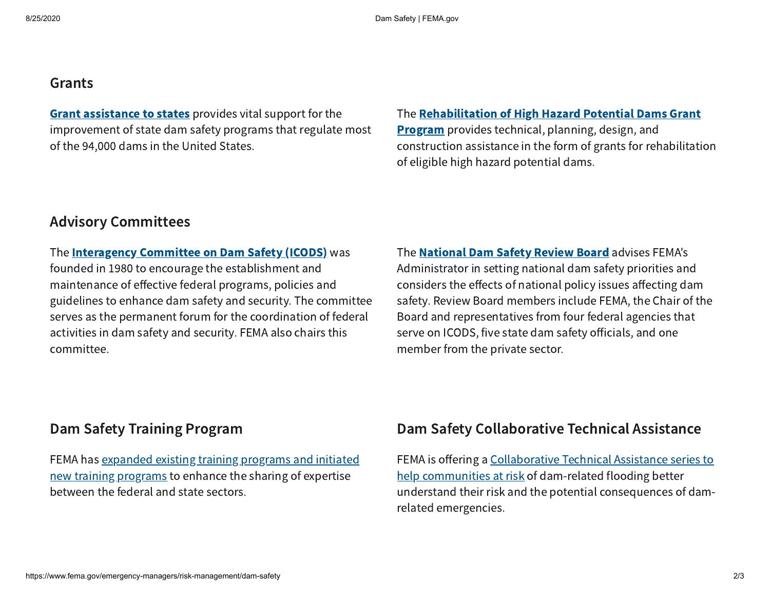#### Grants

**Grant [assistance](https://www.fema.gov/emergency-managers/risk-management/dam-safety/grants#state) to states** provides vital support for the improvement of state dam safety programs that regulate most of the 94,000 dams in the United States.

#### The [Rehabilitation](https://www.fema.gov/emergency-managers/risk-management/dam-safety/grants#hhpd) of High Hazard Potential Dams Grant

**Program** provides technical, planning, design, and construction assistance in the form of grants for rehabilitation of eligible high hazard potential dams.

#### Advisory Committees

The **[Interagency](https://www.fema.gov/emergency-managers/risk-management/dam-safety/advisory-committees#icods) Committee on Dam Safety (ICODS)** was founded in 1980 to encourage the establishment and maintenance of effective federal programs, policies and guidelines to enhance dam safety and security. The committee serves as the permanent forum for the coordination of federal activities in dam safety and security. FEMA also chairs this committee.

The **[National](https://www.fema.gov/emergency-managers/risk-management/dam-safety/advisory-committees#review-board) Dam Safety Review Board** advises FEMA's Administrator in setting national dam safety priorities and considers the effects of national policy issues affecting dam safety. Review Board members include FEMA, the Chair of the Board and representatives from four federal agencies that serve on ICODS, five state dam safety officials, and one member from the private sector.

#### Dam Safety Training Program

FEMA has [expanded](https://www.fema.gov/emergency-managers/risk-management/dam-safety/training) existing training programs and initiated new training programs to enhance the sharing of expertise between the federal and state sectors.

#### Dam Safety Collaborative Technical Assistance

FEMA is offering a Collaborative Technical Assistance series to help communities at risk of [dam-related](https://www.fema.gov/emergency-managers/risk-management/dam-safety/technical-assistance) flooding better understand their risk and the potential consequences of damrelated emergencies.